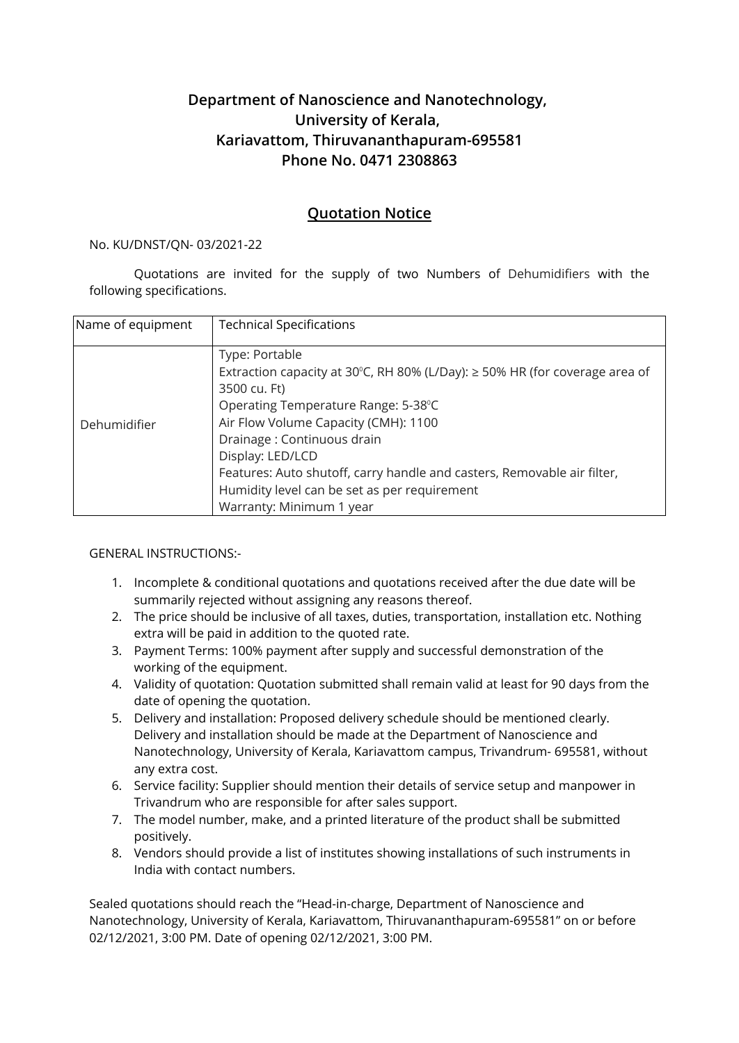## **Department of Nanoscience and Nanotechnology, University of Kerala, Kariavattom, Thiruvananthapuram-695581 Phone No. 0471 2308863**

## **Quotation Notice**

## No. KU/DNST/QN- 03/2021-22

Quotations are invited for the supply of two Numbers of Dehumidifiers with the following specifications.

| Name of equipment | <b>Technical Specifications</b>                                                  |
|-------------------|----------------------------------------------------------------------------------|
|                   |                                                                                  |
| Dehumidifier      | Type: Portable                                                                   |
|                   | Extraction capacity at 30°C, RH 80% (L/Day): $\geq$ 50% HR (for coverage area of |
|                   | 3500 cu. Ft)                                                                     |
|                   | Operating Temperature Range: 5-38°C                                              |
|                   | Air Flow Volume Capacity (CMH): 1100                                             |
|                   | Drainage: Continuous drain                                                       |
|                   | Display: LED/LCD                                                                 |
|                   | Features: Auto shutoff, carry handle and casters, Removable air filter,          |
|                   | Humidity level can be set as per requirement                                     |
|                   | Warranty: Minimum 1 year                                                         |

GENERAL INSTRUCTIONS:-

- 1. Incomplete & conditional quotations and quotations received after the due date will be summarily rejected without assigning any reasons thereof.
- 2. The price should be inclusive of all taxes, duties, transportation, installation etc. Nothing extra will be paid in addition to the quoted rate.
- 3. Payment Terms: 100% payment after supply and successful demonstration of the working of the equipment.
- 4. Validity of quotation: Quotation submitted shall remain valid at least for 90 days from the date of opening the quotation.
- 5. Delivery and installation: Proposed delivery schedule should be mentioned clearly. Delivery and installation should be made at the Department of Nanoscience and Nanotechnology, University of Kerala, Kariavattom campus, Trivandrum- 695581, without any extra cost.
- 6. Service facility: Supplier should mention their details of service setup and manpower in Trivandrum who are responsible for after sales support.
- 7. The model number, make, and a printed literature of the product shall be submitted positively.
- 8. Vendors should provide a list of institutes showing installations of such instruments in India with contact numbers.

Sealed quotations should reach the "Head-in-charge, Department of Nanoscience and Nanotechnology, University of Kerala, Kariavattom, Thiruvananthapuram-695581" on or before 02/12/2021, 3:00 PM. Date of opening 02/12/2021, 3:00 PM.